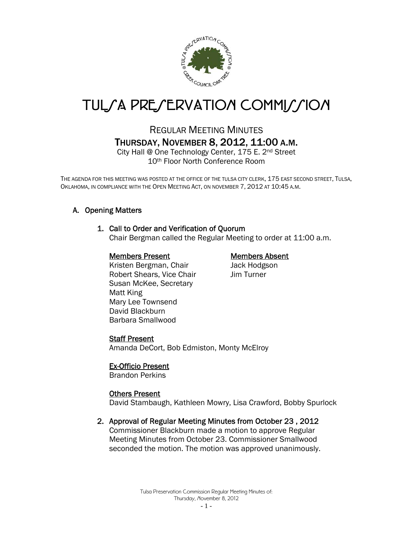

# TUL*SA PRESERVATION COMMISSION*

# REGULAR MEETING MINUTES THURSDAY, NOVEMBER 8, 2012, 11:00 A.M.

City Hall @ One Technology Center, 175 E. 2nd Street 10th Floor North Conference Room

THE AGENDA FOR THIS MEETING WAS POSTED AT THE OFFICE OF THE TULSA CITY CLERK, 175 EAST SECOND STREET, TULSA, OKLAHOMA, IN COMPLIANCE WITH THE OPEN MEETING ACT, ON NOVEMBER 7, 2012 AT 10:45 A.M.

# A. Opening Matters

# 1. Call to Order and Verification of Quorum

Chair Bergman called the Regular Meeting to order at 11:00 a.m.

# Members Present Members Absent

Kristen Bergman, Chair **Jack Hodgson** Robert Shears, Vice Chair Jim Turner Susan McKee, Secretary Matt King Mary Lee Townsend David Blackburn Barbara Smallwood

# Staff Present

Amanda DeCort, Bob Edmiston, Monty McElroy

# Ex-Officio Present

Brandon Perkins

#### Others Present

David Stambaugh, Kathleen Mowry, Lisa Crawford, Bobby Spurlock

# 2. Approval of Regular Meeting Minutes from October 23 , 2012

Commissioner Blackburn made a motion to approve Regular Meeting Minutes from October 23. Commissioner Smallwood seconded the motion. The motion was approved unanimously.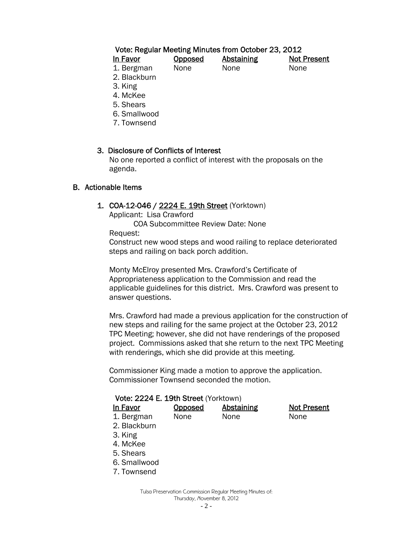# Vote: Regular Meeting Minutes from October 23, 2012

| In Favor             | <b>Opposed</b> | <b>Abstaining</b> | <b>Not Present</b> |
|----------------------|----------------|-------------------|--------------------|
| 1. Bergman           | None           | None              | <b>None</b>        |
| $\sim$ $\sim$ $\sim$ |                |                   |                    |

- 2. Blackburn
- 3. King
- 4. McKee
- 5. Shears
- 6. Smallwood
- 7. Townsend

#### 3. Disclosure of Conflicts of Interest

 No one reported a conflict of interest with the proposals on the agenda.

#### B. Actionable Items

#### 1. COA-12-046 / 2224 E. 19th Street (Yorktown)

Applicant: Lisa Crawford

COA Subcommittee Review Date: None

Request:

Construct new wood steps and wood railing to replace deteriorated steps and railing on back porch addition.

Monty McElroy presented Mrs. Crawford's Certificate of Appropriateness application to the Commission and read the applicable guidelines for this district. Mrs. Crawford was present to answer questions.

Mrs. Crawford had made a previous application for the construction of new steps and railing for the same project at the October 23, 2012 TPC Meeting; however, she did not have renderings of the proposed project. Commissions asked that she return to the next TPC Meeting with renderings, which she did provide at this meeting.

Commissioner King made a motion to approve the application. Commissioner Townsend seconded the motion.

| Vote: 2224 E. 19th Street (Yorktown) |         |                   |                    |  |
|--------------------------------------|---------|-------------------|--------------------|--|
| In Favor                             | Opposed | <b>Abstaining</b> | <b>Not Present</b> |  |
| 1. Bergman                           | None    | None              | None               |  |
| 2. Blackburn                         |         |                   |                    |  |
| 3. King                              |         |                   |                    |  |
| 4. McKee                             |         |                   |                    |  |
| 5. Shears                            |         |                   |                    |  |
| 6. Smallwood                         |         |                   |                    |  |

7. Townsend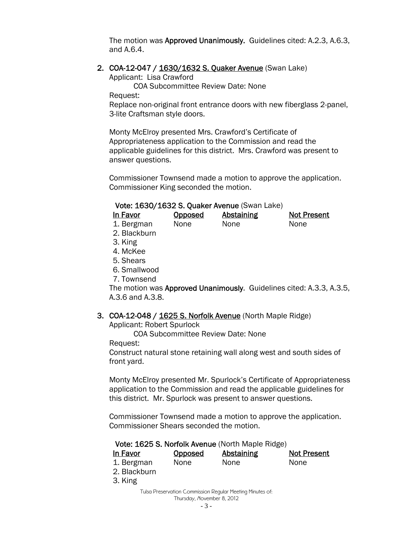The motion was Approved Unanimously. Guidelines cited: A.2.3, A.6.3, and A.6.4.

#### 2. COA-12-047 / 1630/1632 S. Quaker Avenue (Swan Lake)

Applicant: Lisa Crawford

COA Subcommittee Review Date: None Request:

Replace non-original front entrance doors with new fiberglass 2-panel, 3-lite Craftsman style doors.

Monty McElroy presented Mrs. Crawford's Certificate of Appropriateness application to the Commission and read the applicable guidelines for this district. Mrs. Crawford was present to answer questions.

Commissioner Townsend made a motion to approve the application. Commissioner King seconded the motion.

#### Vote: 1630/1632 S. Quaker Avenue (Swan Lake)

| In Favor      | Opposed     | Abstaining | <b>Not Present</b> |
|---------------|-------------|------------|--------------------|
| 1. Bergman    | <b>None</b> | None       | None               |
| -2. Blackburn |             |            |                    |

- 
- 3. King
- 4. McKee
- 5. Shears
- 6. Smallwood
- 7. Townsend

The motion was Approved Unanimously. Guidelines cited: A.3.3, A.3.5, A.3.6 and A.3.8.

#### 3. COA-12-048 / 1625 S. Norfolk Avenue (North Maple Ridge)

Applicant: Robert Spurlock

COA Subcommittee Review Date: None

Request:

Construct natural stone retaining wall along west and south sides of front yard.

Monty McElroy presented Mr. Spurlock's Certificate of Appropriateness application to the Commission and read the applicable guidelines for this district. Mr. Spurlock was present to answer questions.

Commissioner Townsend made a motion to approve the application. Commissioner Shears seconded the motion.

# Vote: 1625 S. Norfolk Avenue (North Maple Ridge)

| In Favor     | <b>Opposed</b> | <b>Abstaining</b>                                         | Not Present |
|--------------|----------------|-----------------------------------------------------------|-------------|
| 1. Bergman   | None           | None                                                      | None        |
| 2. Blackburn |                |                                                           |             |
| 3. King      |                |                                                           |             |
|              |                | Tulsa Preservation Commission Reqular Meeting Minutes of: |             |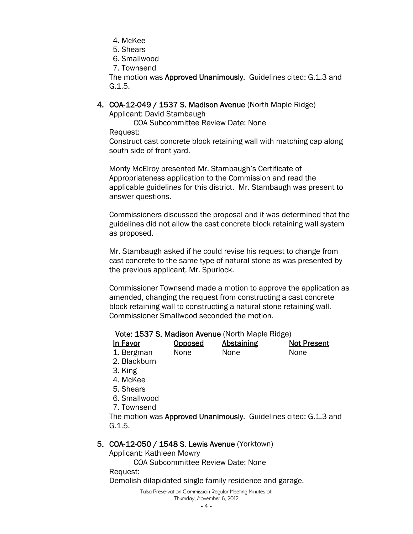- 4. McKee
- 5. Shears
- 6. Smallwood
- 7. Townsend

The motion was Approved Unanimously. Guidelines cited: G.1.3 and G.1.5.

4. COA-12-049 / 1537 S. Madison Avenue (North Maple Ridge)

Applicant: David Stambaugh

COA Subcommittee Review Date: None

Request:

Construct cast concrete block retaining wall with matching cap along south side of front yard.

Monty McElroy presented Mr. Stambaugh's Certificate of Appropriateness application to the Commission and read the applicable guidelines for this district. Mr. Stambaugh was present to answer questions.

Commissioners discussed the proposal and it was determined that the guidelines did not allow the cast concrete block retaining wall system as proposed.

Mr. Stambaugh asked if he could revise his request to change from cast concrete to the same type of natural stone as was presented by the previous applicant, Mr. Spurlock.

Commissioner Townsend made a motion to approve the application as amended, changing the request from constructing a cast concrete block retaining wall to constructing a natural stone retaining wall. Commissioner Smallwood seconded the motion.

#### Vote: 1537 S. Madison Avenue (North Maple Ridge)

| In Favor   | <b>Opposed</b> | <b>Abstaining</b> | <b>Not Present</b> |
|------------|----------------|-------------------|--------------------|
| 1. Bergman | None           | None              | <b>None</b>        |

2. Blackburn

- 3. King
- 4. McKee
- 5. Shears
- 6. Smallwood

7. Townsend

The motion was Approved Unanimously. Guidelines cited: G.1.3 and G.1.5.

# 5. COA-12-050 / 1548 S. Lewis Avenue (Yorktown)

Applicant: Kathleen Mowry

COA Subcommittee Review Date: None

Request:

Demolish dilapidated single-family residence and garage.

Tulsa Preservation Commission Regular Meeting Minutes of: Thursday, November 8, 2012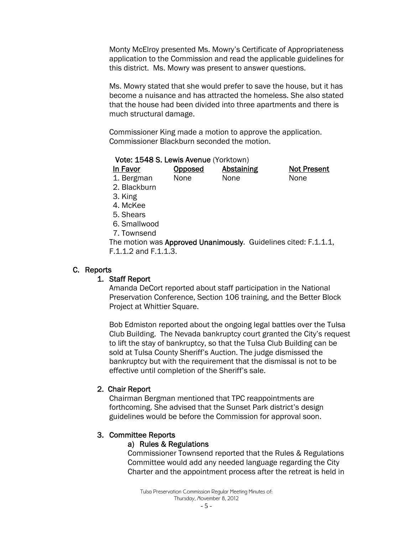Monty McElroy presented Ms. Mowry's Certificate of Appropriateness application to the Commission and read the applicable guidelines for this district. Ms. Mowry was present to answer questions.

Ms. Mowry stated that she would prefer to save the house, but it has become a nuisance and has attracted the homeless. She also stated that the house had been divided into three apartments and there is much structural damage.

Commissioner King made a motion to approve the application. Commissioner Blackburn seconded the motion.

#### Vote: 1548 S. Lewis Avenue (Yorktown)

| In Favor   | <b>Opposed</b> | <b>Abstaining</b> | <b>Not Present</b> |
|------------|----------------|-------------------|--------------------|
| 1. Bergman | None           | None              | None               |

- 2. Blackburn
- 3. King
- 4. McKee
- 5. Shears
- 6. Smallwood
- 7. Townsend

The motion was Approved Unanimously. Guidelines cited: F.1.1.1, F.1.1.2 and F.1.1.3.

#### C. Reports

#### 1. Staff Report

Amanda DeCort reported about staff participation in the National Preservation Conference, Section 106 training, and the Better Block Project at Whittier Square.

Bob Edmiston reported about the ongoing legal battles over the Tulsa Club Building. The Nevada bankruptcy court granted the City's request to lift the stay of bankruptcy, so that the Tulsa Club Building can be sold at Tulsa County Sheriff's Auction. The judge dismissed the bankruptcy but with the requirement that the dismissal is not to be effective until completion of the Sheriff's sale.

#### 2. Chair Report

Chairman Bergman mentioned that TPC reappointments are forthcoming. She advised that the Sunset Park district's design guidelines would be before the Commission for approval soon.

#### 3. Committee Reports

#### a) Rules & Regulations

Commissioner Townsend reported that the Rules & Regulations Committee would add any needed language regarding the City Charter and the appointment process after the retreat is held in